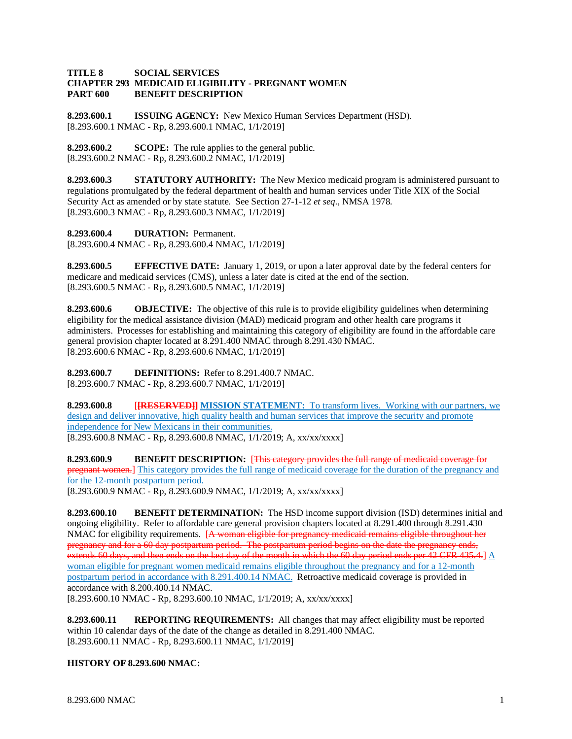## **TITLE 8 SOCIAL SERVICES CHAPTER 293 MEDICAID ELIGIBILITY - PREGNANT WOMEN PART 600 BENEFIT DESCRIPTION**

**8.293.600.1 ISSUING AGENCY:** New Mexico Human Services Department (HSD). [8.293.600.1 NMAC - Rp, 8.293.600.1 NMAC, 1/1/2019]

**8.293.600.2 SCOPE:** The rule applies to the general public. [8.293.600.2 NMAC - Rp, 8.293.600.2 NMAC, 1/1/2019]

**8.293.600.3 STATUTORY AUTHORITY:** The New Mexico medicaid program is administered pursuant to regulations promulgated by the federal department of health and human services under Title XIX of the Social Security Act as amended or by state statute. See Section 27-1-12 *et seq*., NMSA 1978. [8.293.600.3 NMAC - Rp, 8.293.600.3 NMAC, 1/1/2019]

**8.293.600.4 DURATION:** Permanent.

[8.293.600.4 NMAC - Rp, 8.293.600.4 NMAC, 1/1/2019]

**8.293.600.5 EFFECTIVE DATE:** January 1, 2019, or upon a later approval date by the federal centers for medicare and medicaid services (CMS), unless a later date is cited at the end of the section. [8.293.600.5 NMAC - Rp, 8.293.600.5 NMAC, 1/1/2019]

**8.293.600.6 OBJECTIVE:** The objective of this rule is to provide eligibility guidelines when determining eligibility for the medical assistance division (MAD) medicaid program and other health care programs it administers. Processes for establishing and maintaining this category of eligibility are found in the affordable care general provision chapter located at 8.291.400 NMAC through 8.291.430 NMAC. [8.293.600.6 NMAC - Rp, 8.293.600.6 NMAC, 1/1/2019]

**8.293.600.7 DEFINITIONS:** Refer to 8.291.400.7 NMAC. [8.293.600.7 NMAC - Rp, 8.293.600.7 NMAC, 1/1/2019]

**8.293.600.8** [**[RESERVED]] MISSION STATEMENT:** To transform lives. Working with our partners, we design and deliver innovative, high quality health and human services that improve the security and promote independence for New Mexicans in their communities. [8.293.600.8 NMAC - Rp, 8.293.600.8 NMAC, 1/1/2019; A, xx/xx/xxxx]

**8.293.600.9 BENEFIT DESCRIPTION:** [This category provides the full range of medicaid coverage for pregnant women.] This category provides the full range of medicaid coverage for the duration of the pregnancy and for the 12-month postpartum period.

[8.293.600.9 NMAC - Rp, 8.293.600.9 NMAC, 1/1/2019; A, xx/xx/xxxx]

**8.293.600.10 BENEFIT DETERMINATION:** The HSD income support division (ISD) determines initial and ongoing eligibility. Refer to affordable care general provision chapters located at 8.291.400 through 8.291.430 NMAC for eligibility requirements. [A woman eligible for pregnancy medicaid remains eligible throughout her pregnancy and for a 60 day postpartum period. The postpartum period begins on the date the pregnancy ends, extends 60 days, and then ends on the last day of the month in which the 60 day period ends per 42 CFR 435.4.] A woman eligible for pregnant women medicaid remains eligible throughout the pregnancy and for a 12-month postpartum period in accordance with 8.291.400.14 NMAC. Retroactive medicaid coverage is provided in accordance with 8.200.400.14 NMAC. [8.293.600.10 NMAC - Rp, 8.293.600.10 NMAC, 1/1/2019; A, xx/xx/xxxx]

**8.293.600.11 REPORTING REQUIREMENTS:** All changes that may affect eligibility must be reported within 10 calendar days of the date of the change as detailed in 8.291.400 NMAC. [8.293.600.11 NMAC - Rp, 8.293.600.11 NMAC, 1/1/2019]

## **HISTORY OF 8.293.600 NMAC:**